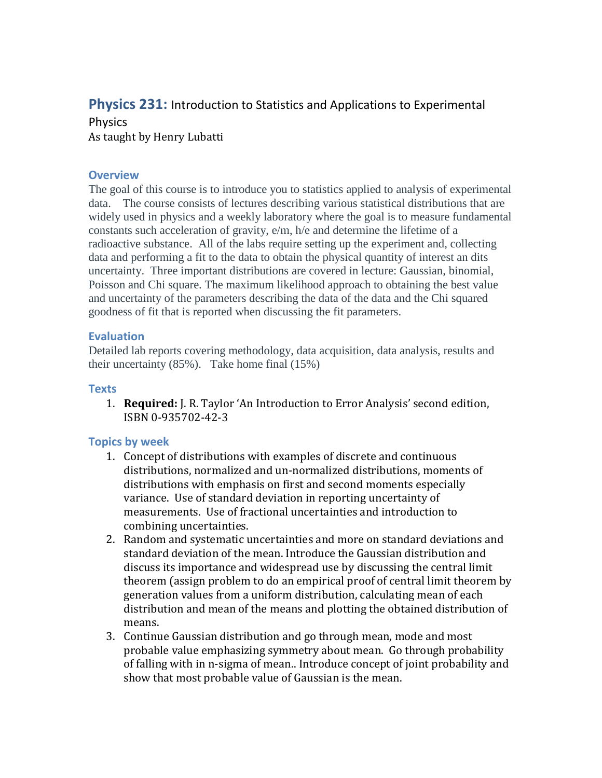# **Physics 231:** Introduction to Statistics and Applications to Experimental **Physics**

As taught by Henry Lubatti

#### **Overview**

The goal of this course is to introduce you to statistics applied to analysis of experimental data. The course consists of lectures describing various statistical distributions that are widely used in physics and a weekly laboratory where the goal is to measure fundamental constants such acceleration of gravity, e/m, h/e and determine the lifetime of a radioactive substance. All of the labs require setting up the experiment and, collecting data and performing a fit to the data to obtain the physical quantity of interest an dits uncertainty. Three important distributions are covered in lecture: Gaussian, binomial, Poisson and Chi square. The maximum likelihood approach to obtaining the best value and uncertainty of the parameters describing the data of the data and the Chi squared goodness of fit that is reported when discussing the fit parameters.

# **Evaluation**

Detailed lab reports covering methodology, data acquisition, data analysis, results and their uncertainty (85%). Take home final (15%)

#### **Texts**

1. **Required:** J. R. Taylor 'An Introduction to Error Analysis' second edition, ISBN 0-935702-42-3

# **Topics by week**

- 1. Concept of distributions with examples of discrete and continuous distributions, normalized and un-normalized distributions, moments of distributions with emphasis on first and second moments especially variance. Use of standard deviation in reporting uncertainty of measurements. Use of fractional uncertainties and introduction to combining uncertainties.
- 2. Random and systematic uncertainties and more on standard deviations and standard deviation of the mean. Introduce the Gaussian distribution and discuss its importance and widespread use by discussing the central limit theorem (assign problem to do an empirical proof of central limit theorem by generation values from a uniform distribution, calculating mean of each distribution and mean of the means and plotting the obtained distribution of means.
- 3. Continue Gaussian distribution and go through mean, mode and most probable value emphasizing symmetry about mean. Go through probability of falling with in n-sigma of mean.. Introduce concept of joint probability and show that most probable value of Gaussian is the mean.